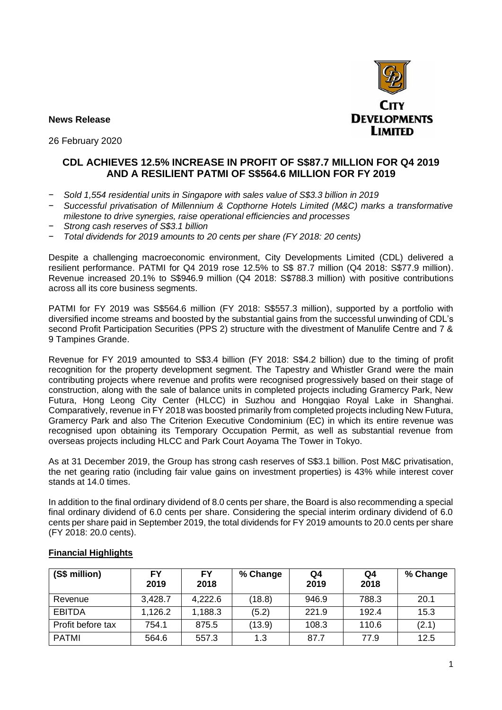

**News Release**

26 February 2020

# **CDL ACHIEVES 12.5% INCREASE IN PROFIT OF S\$87.7 MILLION FOR Q4 2019 AND A RESILIENT PATMI OF S\$564.6 MILLION FOR FY 2019**

- − *Sold 1,554 residential units in Singapore with sales value of S\$3.3 billion in 2019*
- − *Successful privatisation of Millennium & Copthorne Hotels Limited (M&C) marks a transformative milestone to drive synergies, raise operational efficiencies and processes*
- − *Strong cash reserves of S\$3.1 billion*
- − *Total dividends for 2019 amounts to 20 cents per share (FY 2018: 20 cents)*

Despite a challenging macroeconomic environment, City Developments Limited (CDL) delivered a resilient performance. PATMI for Q4 2019 rose 12.5% to S\$ 87.7 million (Q4 2018: S\$77.9 million). Revenue increased 20.1% to S\$946.9 million (Q4 2018: S\$788.3 million) with positive contributions across all its core business segments.

PATMI for FY 2019 was S\$564.6 million (FY 2018: S\$557.3 million), supported by a portfolio with diversified income streams and boosted by the substantial gains from the successful unwinding of CDL's second Profit Participation Securities (PPS 2) structure with the divestment of Manulife Centre and 7 & 9 Tampines Grande.

Revenue for FY 2019 amounted to S\$3.4 billion (FY 2018: S\$4.2 billion) due to the timing of profit recognition for the property development segment. The Tapestry and Whistler Grand were the main contributing projects where revenue and profits were recognised progressively based on their stage of construction, along with the sale of balance units in completed projects including Gramercy Park, New Futura, Hong Leong City Center (HLCC) in Suzhou and Hongqiao Royal Lake in Shanghai. Comparatively, revenue in FY 2018 was boosted primarily from completed projects including New Futura, Gramercy Park and also The Criterion Executive Condominium (EC) in which its entire revenue was recognised upon obtaining its Temporary Occupation Permit, as well as substantial revenue from overseas projects including HLCC and Park Court Aoyama The Tower in Tokyo.

As at 31 December 2019, the Group has strong cash reserves of S\$3.1 billion. Post M&C privatisation, the net gearing ratio (including fair value gains on investment properties) is 43% while interest cover stands at 14.0 times.

In addition to the final ordinary dividend of 8.0 cents per share, the Board is also recommending a special final ordinary dividend of 6.0 cents per share. Considering the special interim ordinary dividend of 6.0 cents per share paid in September 2019, the total dividends for FY 2019 amounts to 20.0 cents per share (FY 2018: 20.0 cents).

| (S\$ million)     | FY<br>2019 | <b>FY</b><br>2018 | % Change | Q4<br>2019 | Q4<br>2018 | % Change |
|-------------------|------------|-------------------|----------|------------|------------|----------|
| Revenue           | 3,428.7    | 4,222.6           | (18.8)   | 946.9      | 788.3      | 20.1     |
| <b>EBITDA</b>     | 1,126.2    | 1,188.3           | (5.2)    | 221.9      | 192.4      | 15.3     |
| Profit before tax | 754.1      | 875.5             | (13.9)   | 108.3      | 110.6      | (2.1)    |
| <b>PATMI</b>      | 564.6      | 557.3             | 1.3      | 87.7       | 77.9       | 12.5     |

## **Financial Highlights**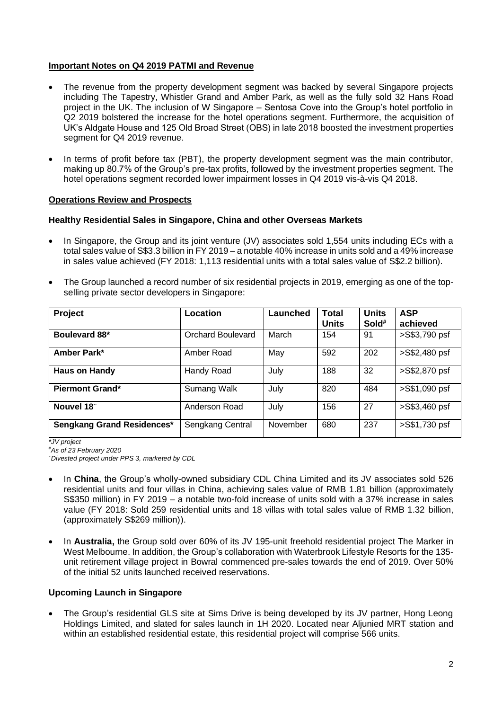### **Important Notes on Q4 2019 PATMI and Revenue**

- The revenue from the property development segment was backed by several Singapore projects including The Tapestry, Whistler Grand and Amber Park, as well as the fully sold 32 Hans Road project in the UK. The inclusion of W Singapore – Sentosa Cove into the Group's hotel portfolio in Q2 2019 bolstered the increase for the hotel operations segment. Furthermore, the acquisition of UK's Aldgate House and 125 Old Broad Street (OBS) in late 2018 boosted the investment properties segment for Q4 2019 revenue.
- In terms of profit before tax (PBT), the property development segment was the main contributor, making up 80.7% of the Group's pre-tax profits, followed by the investment properties segment. The hotel operations segment recorded lower impairment losses in Q4 2019 vis-à-vis Q4 2018.

### **Operations Review and Prospects**

### **Healthy Residential Sales in Singapore, China and other Overseas Markets**

- In Singapore, the Group and its joint venture (JV) associates sold 1,554 units including ECs with a total sales value of S\$3.3 billion in FY 2019 – a notable 40% increase in units sold and a 49% increase in sales value achieved (FY 2018: 1,113 residential units with a total sales value of S\$2.2 billion).
- The Group launched a record number of six residential projects in 2019, emerging as one of the topselling private sector developers in Singapore:

| Project                    | Location                 |          | <b>Total</b><br><b>Units</b> | <b>Units</b><br>Sold# | <b>ASP</b><br>achieved |
|----------------------------|--------------------------|----------|------------------------------|-----------------------|------------------------|
| Boulevard 88*              | <b>Orchard Boulevard</b> |          | 154                          | 91                    | >S\$3,790 psf          |
| Amber Park*<br>Amber Road  |                          | May      | 592                          | 202                   | >S\$2,480 psf          |
| <b>Haus on Handy</b>       | Handy Road               | July     | 188                          | 32                    | >S\$2,870 psf          |
| <b>Piermont Grand*</b>     | Sumang Walk              | July     | 820                          | 484                   | >S\$1,090 psf          |
| Nouvel 18~                 | Anderson Road            | July     | 156                          | 27                    | >S\$3,460 psf          |
| Sengkang Grand Residences* | Sengkang Central         | November | 680                          | 237                   | >S\$1,730 psf          |

*\*JV project* 

*#As of 23 February 2020*

*<sup>~</sup>Divested project under PPS 3, marketed by CDL*

- In **China**, the Group's wholly-owned subsidiary CDL China Limited and its JV associates sold 526 residential units and four villas in China, achieving sales value of RMB 1.81 billion (approximately S\$350 million) in FY 2019 – a notable two-fold increase of units sold with a 37% increase in sales value (FY 2018: Sold 259 residential units and 18 villas with total sales value of RMB 1.32 billion, (approximately S\$269 million)).
- In **Australia,** the Group sold over 60% of its JV 195-unit freehold residential project The Marker in West Melbourne. In addition, the Group's collaboration with Waterbrook Lifestyle Resorts for the 135 unit retirement village project in Bowral commenced pre-sales towards the end of 2019. Over 50% of the initial 52 units launched received reservations.

### **Upcoming Launch in Singapore**

The Group's residential GLS site at Sims Drive is being developed by its JV partner, Hong Leong Holdings Limited, and slated for sales launch in 1H 2020. Located near Aljunied MRT station and within an established residential estate, this residential project will comprise 566 units.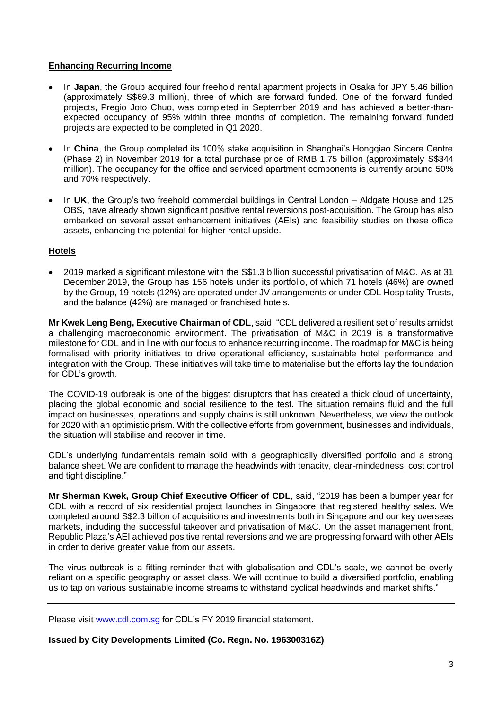### **Enhancing Recurring Income**

- In **Japan**, the Group acquired four freehold rental apartment projects in Osaka for JPY 5.46 billion (approximately S\$69.3 million), three of which are forward funded. One of the forward funded projects, Pregio Joto Chuo, was completed in September 2019 and has achieved a better-thanexpected occupancy of 95% within three months of completion. The remaining forward funded projects are expected to be completed in Q1 2020.
- In **China**, the Group completed its 100% stake acquisition in Shanghai's Hongqiao Sincere Centre (Phase 2) in November 2019 for a total purchase price of RMB 1.75 billion (approximately S\$344 million). The occupancy for the office and serviced apartment components is currently around 50% and 70% respectively.
- In **UK**, the Group's two freehold commercial buildings in Central London Aldgate House and 125 OBS, have already shown significant positive rental reversions post-acquisition. The Group has also embarked on several asset enhancement initiatives (AEIs) and feasibility studies on these office assets, enhancing the potential for higher rental upside.

### **Hotels**

• 2019 marked a significant milestone with the S\$1.3 billion successful privatisation of M&C. As at 31 December 2019, the Group has 156 hotels under its portfolio, of which 71 hotels (46%) are owned by the Group, 19 hotels (12%) are operated under JV arrangements or under CDL Hospitality Trusts, and the balance (42%) are managed or franchised hotels.

**Mr Kwek Leng Beng, Executive Chairman of CDL**, said, "CDL delivered a resilient set of results amidst a challenging macroeconomic environment. The privatisation of M&C in 2019 is a transformative milestone for CDL and in line with our focus to enhance recurring income. The roadmap for M&C is being formalised with priority initiatives to drive operational efficiency, sustainable hotel performance and integration with the Group. These initiatives will take time to materialise but the efforts lay the foundation for CDL's growth.

The COVID-19 outbreak is one of the biggest disruptors that has created a thick cloud of uncertainty, placing the global economic and social resilience to the test. The situation remains fluid and the full impact on businesses, operations and supply chains is still unknown. Nevertheless, we view the outlook for 2020 with an optimistic prism. With the collective efforts from government, businesses and individuals, the situation will stabilise and recover in time.

CDL's underlying fundamentals remain solid with a geographically diversified portfolio and a strong balance sheet. We are confident to manage the headwinds with tenacity, clear-mindedness, cost control and tight discipline."

**Mr Sherman Kwek, Group Chief Executive Officer of CDL**, said, "2019 has been a bumper year for CDL with a record of six residential project launches in Singapore that registered healthy sales. We completed around S\$2.3 billion of acquisitions and investments both in Singapore and our key overseas markets, including the successful takeover and privatisation of M&C. On the asset management front, Republic Plaza's AEI achieved positive rental reversions and we are progressing forward with other AEIs in order to derive greater value from our assets.

The virus outbreak is a fitting reminder that with globalisation and CDL's scale, we cannot be overly reliant on a specific geography or asset class. We will continue to build a diversified portfolio, enabling us to tap on various sustainable income streams to withstand cyclical headwinds and market shifts."

Please visit www.cdl.com.sg for CDL's FY 2019 financial statement.

**Issued by City Developments Limited (Co. Regn. No. 196300316Z)**